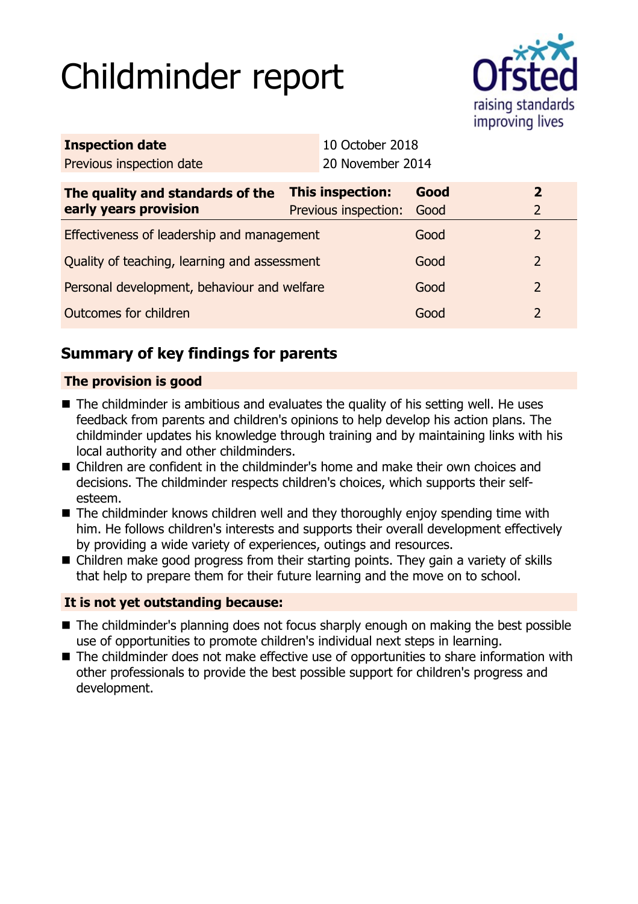# Childminder report



| Previous inspection date                     |  |                         |                                                             |                                  |
|----------------------------------------------|--|-------------------------|-------------------------------------------------------------|----------------------------------|
|                                              |  | Good<br>Good            |                                                             | $\overline{2}$<br>$\overline{2}$ |
| Effectiveness of leadership and management   |  | Good                    |                                                             | 2                                |
| Quality of teaching, learning and assessment |  | Good                    |                                                             | $\overline{2}$                   |
| Personal development, behaviour and welfare  |  | Good                    |                                                             | $\overline{2}$                   |
| Outcomes for children                        |  | Good                    |                                                             | $\overline{2}$                   |
|                                              |  | <b>This inspection:</b> | 10 October 2018<br>20 November 2014<br>Previous inspection: |                                  |

# **Summary of key findings for parents**

## **The provision is good**

- $\blacksquare$  The childminder is ambitious and evaluates the quality of his setting well. He uses feedback from parents and children's opinions to help develop his action plans. The childminder updates his knowledge through training and by maintaining links with his local authority and other childminders.
- Children are confident in the childminder's home and make their own choices and decisions. The childminder respects children's choices, which supports their selfesteem.
- $\blacksquare$  The childminder knows children well and they thoroughly enjoy spending time with him. He follows children's interests and supports their overall development effectively by providing a wide variety of experiences, outings and resources.
- Children make good progress from their starting points. They gain a variety of skills that help to prepare them for their future learning and the move on to school.

## **It is not yet outstanding because:**

- The childminder's planning does not focus sharply enough on making the best possible use of opportunities to promote children's individual next steps in learning.
- The childminder does not make effective use of opportunities to share information with other professionals to provide the best possible support for children's progress and development.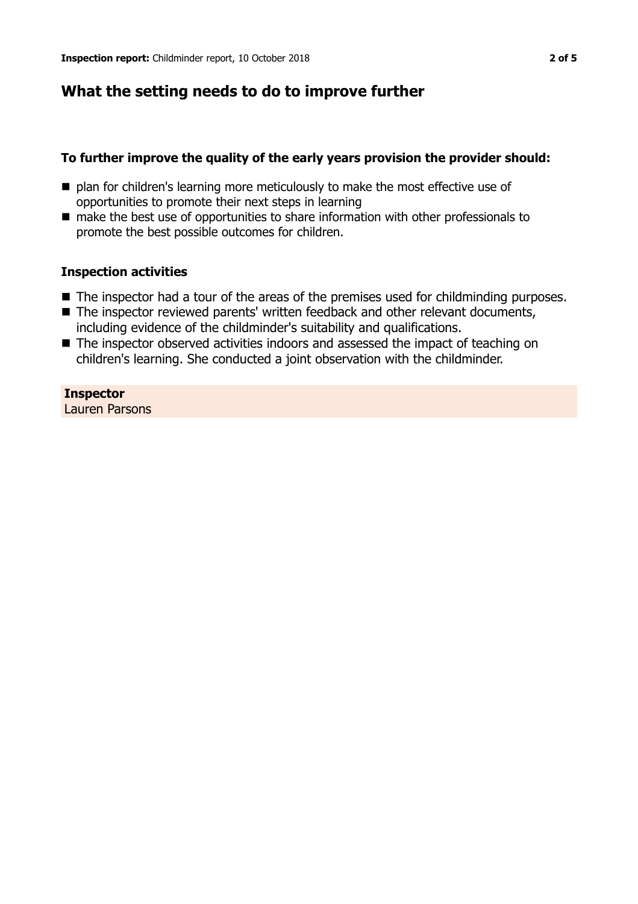## **What the setting needs to do to improve further**

#### **To further improve the quality of the early years provision the provider should:**

- plan for children's learning more meticulously to make the most effective use of opportunities to promote their next steps in learning
- $\blacksquare$  make the best use of opportunities to share information with other professionals to promote the best possible outcomes for children.

#### **Inspection activities**

- The inspector had a tour of the areas of the premises used for childminding purposes.
- The inspector reviewed parents' written feedback and other relevant documents, including evidence of the childminder's suitability and qualifications.
- $\blacksquare$  The inspector observed activities indoors and assessed the impact of teaching on children's learning. She conducted a joint observation with the childminder.

**Inspector** Lauren Parsons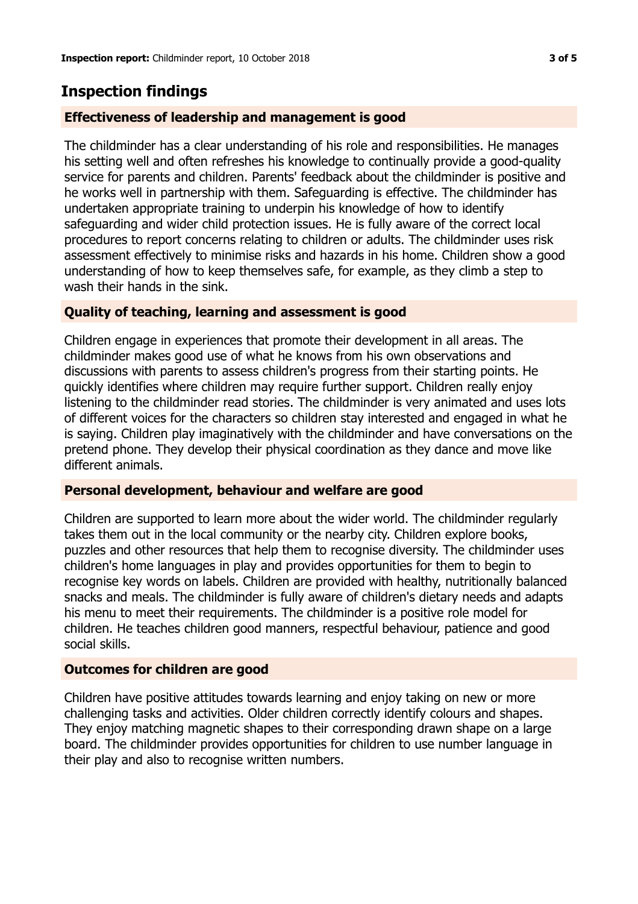## **Inspection findings**

## **Effectiveness of leadership and management is good**

The childminder has a clear understanding of his role and responsibilities. He manages his setting well and often refreshes his knowledge to continually provide a good-quality service for parents and children. Parents' feedback about the childminder is positive and he works well in partnership with them. Safeguarding is effective. The childminder has undertaken appropriate training to underpin his knowledge of how to identify safeguarding and wider child protection issues. He is fully aware of the correct local procedures to report concerns relating to children or adults. The childminder uses risk assessment effectively to minimise risks and hazards in his home. Children show a good understanding of how to keep themselves safe, for example, as they climb a step to wash their hands in the sink.

## **Quality of teaching, learning and assessment is good**

Children engage in experiences that promote their development in all areas. The childminder makes good use of what he knows from his own observations and discussions with parents to assess children's progress from their starting points. He quickly identifies where children may require further support. Children really enjoy listening to the childminder read stories. The childminder is very animated and uses lots of different voices for the characters so children stay interested and engaged in what he is saying. Children play imaginatively with the childminder and have conversations on the pretend phone. They develop their physical coordination as they dance and move like different animals.

### **Personal development, behaviour and welfare are good**

Children are supported to learn more about the wider world. The childminder regularly takes them out in the local community or the nearby city. Children explore books, puzzles and other resources that help them to recognise diversity. The childminder uses children's home languages in play and provides opportunities for them to begin to recognise key words on labels. Children are provided with healthy, nutritionally balanced snacks and meals. The childminder is fully aware of children's dietary needs and adapts his menu to meet their requirements. The childminder is a positive role model for children. He teaches children good manners, respectful behaviour, patience and good social skills.

### **Outcomes for children are good**

Children have positive attitudes towards learning and enjoy taking on new or more challenging tasks and activities. Older children correctly identify colours and shapes. They enjoy matching magnetic shapes to their corresponding drawn shape on a large board. The childminder provides opportunities for children to use number language in their play and also to recognise written numbers.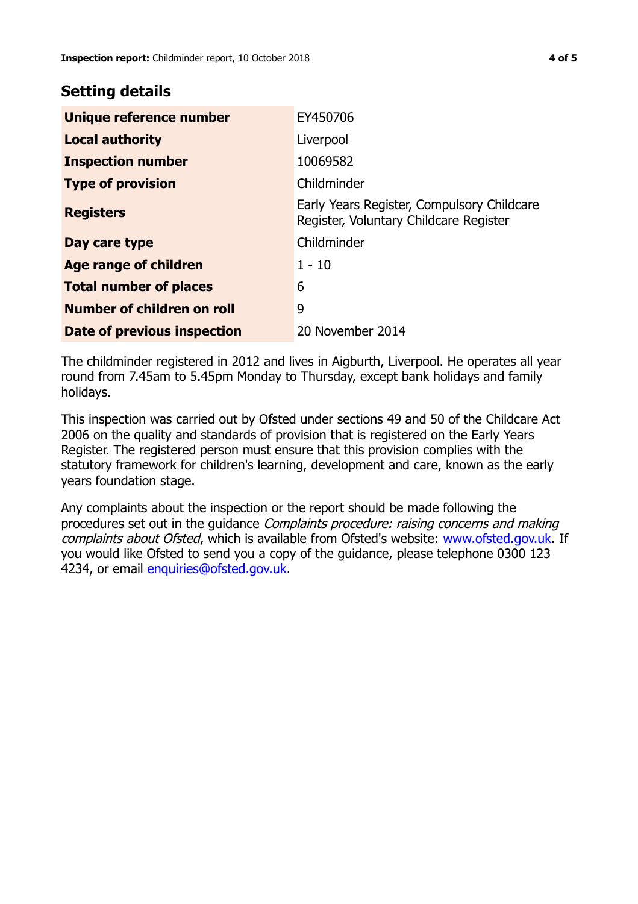## **Setting details**

| Unique reference number       | EY450706                                                                             |
|-------------------------------|--------------------------------------------------------------------------------------|
| <b>Local authority</b>        | Liverpool                                                                            |
| <b>Inspection number</b>      | 10069582                                                                             |
| <b>Type of provision</b>      | Childminder                                                                          |
| <b>Registers</b>              | Early Years Register, Compulsory Childcare<br>Register, Voluntary Childcare Register |
| Day care type                 | Childminder                                                                          |
| Age range of children         | $1 - 10$                                                                             |
| <b>Total number of places</b> | 6                                                                                    |
| Number of children on roll    | 9                                                                                    |
| Date of previous inspection   | 20 November 2014                                                                     |

The childminder registered in 2012 and lives in Aigburth, Liverpool. He operates all year round from 7.45am to 5.45pm Monday to Thursday, except bank holidays and family holidays.

This inspection was carried out by Ofsted under sections 49 and 50 of the Childcare Act 2006 on the quality and standards of provision that is registered on the Early Years Register. The registered person must ensure that this provision complies with the statutory framework for children's learning, development and care, known as the early years foundation stage.

Any complaints about the inspection or the report should be made following the procedures set out in the guidance Complaints procedure: raising concerns and making complaints about Ofsted, which is available from Ofsted's website: www.ofsted.gov.uk. If you would like Ofsted to send you a copy of the guidance, please telephone 0300 123 4234, or email [enquiries@ofsted.gov.uk.](mailto:enquiries@ofsted.gov.uk)